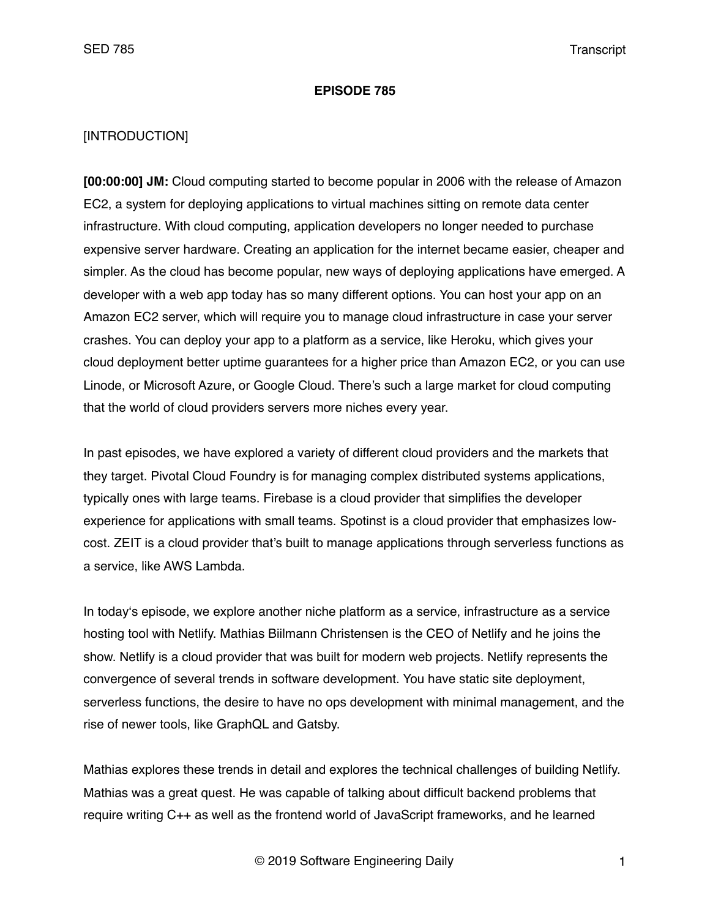#### **EPISODE 785**

### [INTRODUCTION]

**[00:00:00] JM:** Cloud computing started to become popular in 2006 with the release of Amazon EC2, a system for deploying applications to virtual machines sitting on remote data center infrastructure. With cloud computing, application developers no longer needed to purchase expensive server hardware. Creating an application for the internet became easier, cheaper and simpler. As the cloud has become popular, new ways of deploying applications have emerged. A developer with a web app today has so many different options. You can host your app on an Amazon EC2 server, which will require you to manage cloud infrastructure in case your server crashes. You can deploy your app to a platform as a service, like Heroku, which gives your cloud deployment better uptime guarantees for a higher price than Amazon EC2, or you can use Linode, or Microsoft Azure, or Google Cloud. There's such a large market for cloud computing that the world of cloud providers servers more niches every year.

In past episodes, we have explored a variety of different cloud providers and the markets that they target. Pivotal Cloud Foundry is for managing complex distributed systems applications, typically ones with large teams. Firebase is a cloud provider that simplifies the developer experience for applications with small teams. Spotinst is a cloud provider that emphasizes lowcost. ZEIT is a cloud provider that's built to manage applications through serverless functions as a service, like AWS Lambda.

In today's episode, we explore another niche platform as a service, infrastructure as a service hosting tool with Netlify. Mathias Biilmann Christensen is the CEO of Netlify and he joins the show. Netlify is a cloud provider that was built for modern web projects. Netlify represents the convergence of several trends in software development. You have static site deployment, serverless functions, the desire to have no ops development with minimal management, and the rise of newer tools, like GraphQL and Gatsby.

Mathias explores these trends in detail and explores the technical challenges of building Netlify. Mathias was a great quest. He was capable of talking about difficult backend problems that require writing C++ as well as the frontend world of JavaScript frameworks, and he learned

© 2019 Software Engineering Daily 1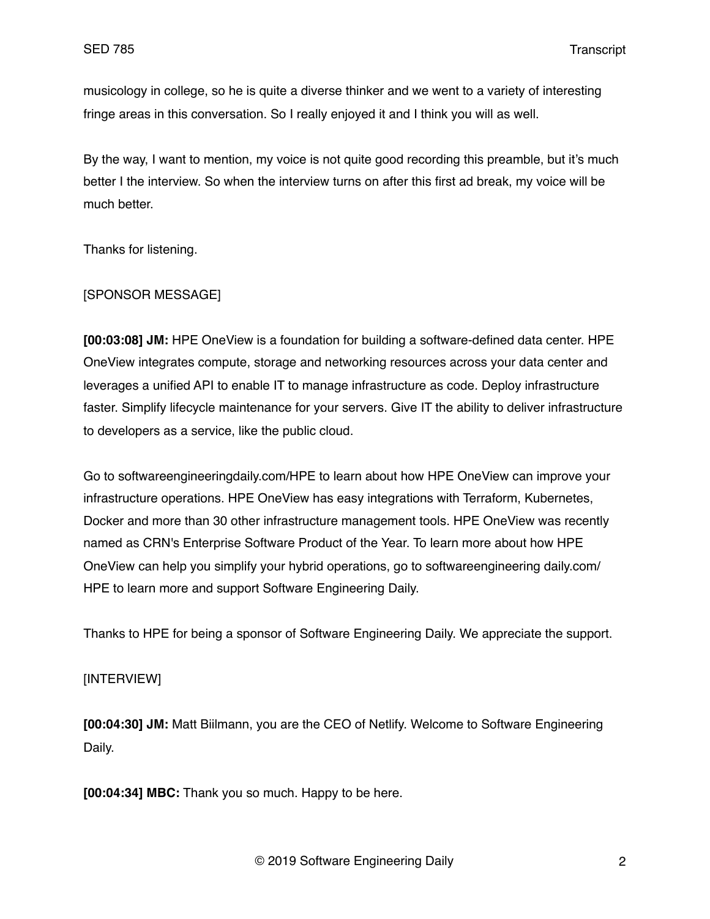musicology in college, so he is quite a diverse thinker and we went to a variety of interesting fringe areas in this conversation. So I really enjoyed it and I think you will as well.

By the way, I want to mention, my voice is not quite good recording this preamble, but it's much better I the interview. So when the interview turns on after this first ad break, my voice will be much better.

Thanks for listening.

### [SPONSOR MESSAGE]

**[00:03:08] JM:** HPE OneView is a foundation for building a software-defined data center. HPE OneView integrates compute, storage and networking resources across your data center and leverages a unified API to enable IT to manage infrastructure as code. Deploy infrastructure faster. Simplify lifecycle maintenance for your servers. Give IT the ability to deliver infrastructure to developers as a service, like the public cloud.

Go to softwareengineeringdaily.com/HPE to learn about how HPE OneView can improve your infrastructure operations. HPE OneView has easy integrations with Terraform, Kubernetes, Docker and more than 30 other infrastructure management tools. HPE OneView was recently named as CRN's Enterprise Software Product of the Year. To learn more about how HPE OneView can help you simplify your hybrid operations, go to softwareengineering daily.com/ HPE to learn more and support Software Engineering Daily.

Thanks to HPE for being a sponsor of Software Engineering Daily. We appreciate the support.

# [INTERVIEW]

**[00:04:30] JM:** Matt Biilmann, you are the CEO of Netlify. Welcome to Software Engineering Daily.

**[00:04:34] MBC:** Thank you so much. Happy to be here.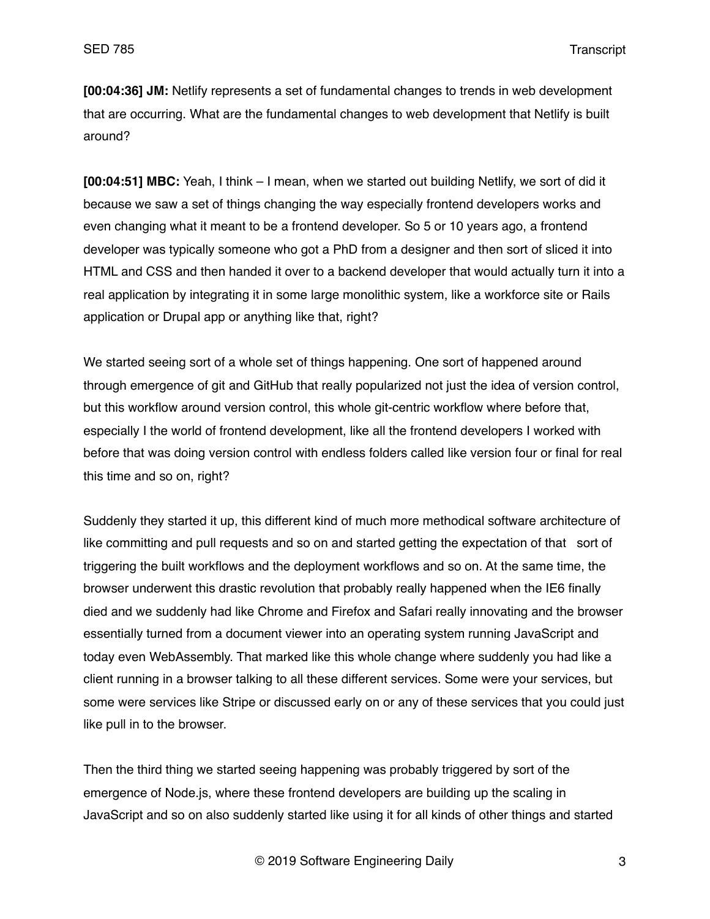**[00:04:36] JM:** Netlify represents a set of fundamental changes to trends in web development that are occurring. What are the fundamental changes to web development that Netlify is built around?

**[00:04:51] MBC:** Yeah, I think – I mean, when we started out building Netlify, we sort of did it because we saw a set of things changing the way especially frontend developers works and even changing what it meant to be a frontend developer. So 5 or 10 years ago, a frontend developer was typically someone who got a PhD from a designer and then sort of sliced it into HTML and CSS and then handed it over to a backend developer that would actually turn it into a real application by integrating it in some large monolithic system, like a workforce site or Rails application or Drupal app or anything like that, right?

We started seeing sort of a whole set of things happening. One sort of happened around through emergence of git and GitHub that really popularized not just the idea of version control, but this workflow around version control, this whole git-centric workflow where before that, especially I the world of frontend development, like all the frontend developers I worked with before that was doing version control with endless folders called like version four or final for real this time and so on, right?

Suddenly they started it up, this different kind of much more methodical software architecture of like committing and pull requests and so on and started getting the expectation of that sort of triggering the built workflows and the deployment workflows and so on. At the same time, the browser underwent this drastic revolution that probably really happened when the IE6 finally died and we suddenly had like Chrome and Firefox and Safari really innovating and the browser essentially turned from a document viewer into an operating system running JavaScript and today even WebAssembly. That marked like this whole change where suddenly you had like a client running in a browser talking to all these different services. Some were your services, but some were services like Stripe or discussed early on or any of these services that you could just like pull in to the browser.

Then the third thing we started seeing happening was probably triggered by sort of the emergence of Node.js, where these frontend developers are building up the scaling in JavaScript and so on also suddenly started like using it for all kinds of other things and started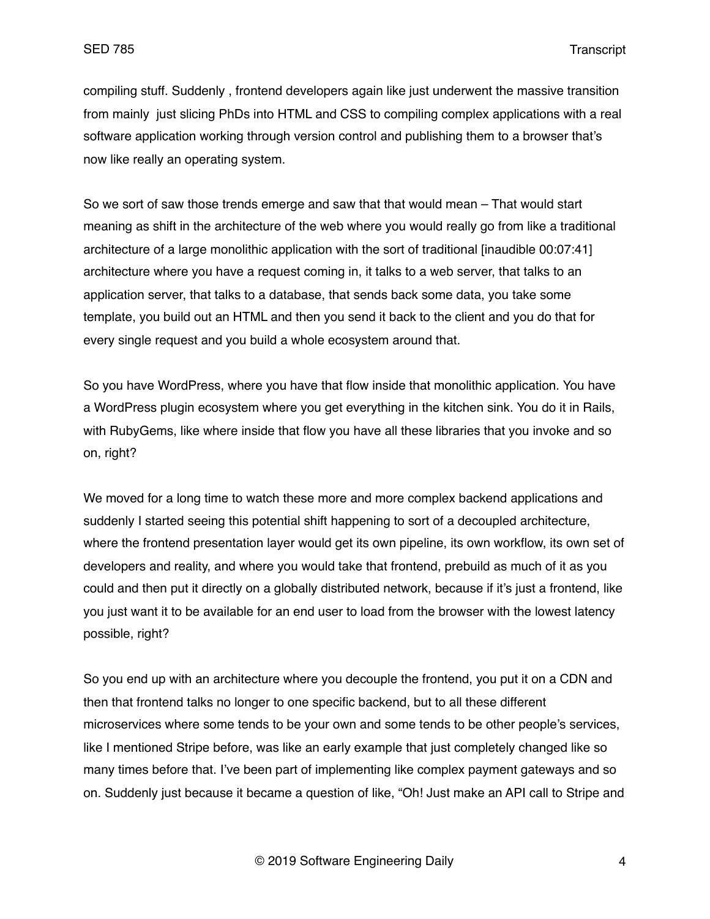compiling stuff. Suddenly , frontend developers again like just underwent the massive transition from mainly just slicing PhDs into HTML and CSS to compiling complex applications with a real software application working through version control and publishing them to a browser that's now like really an operating system.

So we sort of saw those trends emerge and saw that that would mean – That would start meaning as shift in the architecture of the web where you would really go from like a traditional architecture of a large monolithic application with the sort of traditional [inaudible 00:07:41] architecture where you have a request coming in, it talks to a web server, that talks to an application server, that talks to a database, that sends back some data, you take some template, you build out an HTML and then you send it back to the client and you do that for every single request and you build a whole ecosystem around that.

So you have WordPress, where you have that flow inside that monolithic application. You have a WordPress plugin ecosystem where you get everything in the kitchen sink. You do it in Rails, with RubyGems, like where inside that flow you have all these libraries that you invoke and so on, right?

We moved for a long time to watch these more and more complex backend applications and suddenly I started seeing this potential shift happening to sort of a decoupled architecture, where the frontend presentation layer would get its own pipeline, its own workflow, its own set of developers and reality, and where you would take that frontend, prebuild as much of it as you could and then put it directly on a globally distributed network, because if it's just a frontend, like you just want it to be available for an end user to load from the browser with the lowest latency possible, right?

So you end up with an architecture where you decouple the frontend, you put it on a CDN and then that frontend talks no longer to one specific backend, but to all these different microservices where some tends to be your own and some tends to be other people's services, like I mentioned Stripe before, was like an early example that just completely changed like so many times before that. I've been part of implementing like complex payment gateways and so on. Suddenly just because it became a question of like, "Oh! Just make an API call to Stripe and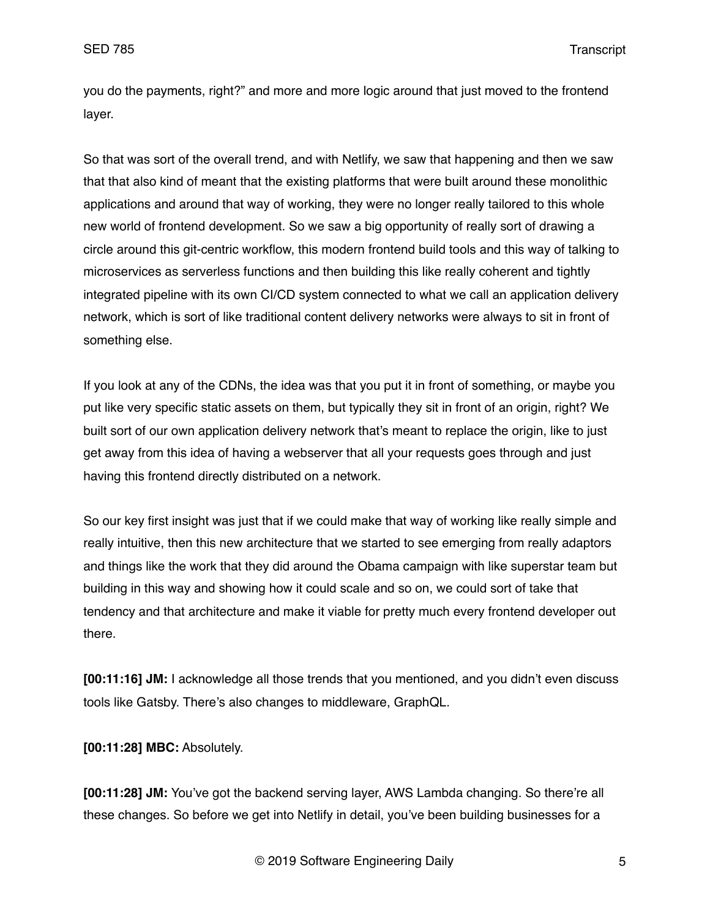you do the payments, right?" and more and more logic around that just moved to the frontend layer.

So that was sort of the overall trend, and with Netlify, we saw that happening and then we saw that that also kind of meant that the existing platforms that were built around these monolithic applications and around that way of working, they were no longer really tailored to this whole new world of frontend development. So we saw a big opportunity of really sort of drawing a circle around this git-centric workflow, this modern frontend build tools and this way of talking to microservices as serverless functions and then building this like really coherent and tightly integrated pipeline with its own CI/CD system connected to what we call an application delivery network, which is sort of like traditional content delivery networks were always to sit in front of something else.

If you look at any of the CDNs, the idea was that you put it in front of something, or maybe you put like very specific static assets on them, but typically they sit in front of an origin, right? We built sort of our own application delivery network that's meant to replace the origin, like to just get away from this idea of having a webserver that all your requests goes through and just having this frontend directly distributed on a network.

So our key first insight was just that if we could make that way of working like really simple and really intuitive, then this new architecture that we started to see emerging from really adaptors and things like the work that they did around the Obama campaign with like superstar team but building in this way and showing how it could scale and so on, we could sort of take that tendency and that architecture and make it viable for pretty much every frontend developer out there.

**[00:11:16] JM:** I acknowledge all those trends that you mentioned, and you didn't even discuss tools like Gatsby. There's also changes to middleware, GraphQL.

**[00:11:28] MBC:** Absolutely.

**[00:11:28] JM:** You've got the backend serving layer, AWS Lambda changing. So there're all these changes. So before we get into Netlify in detail, you've been building businesses for a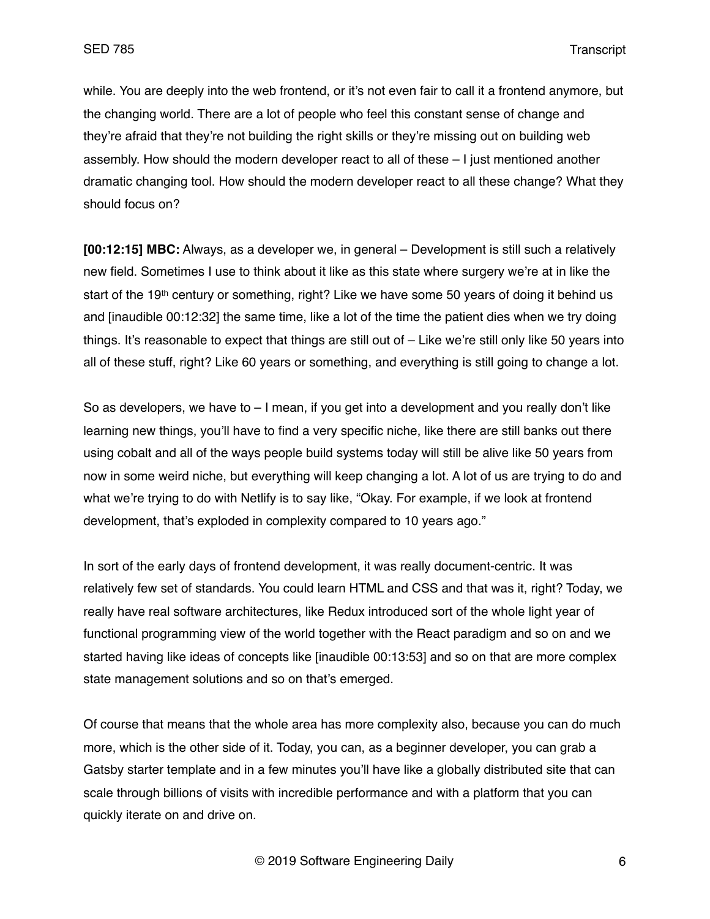while. You are deeply into the web frontend, or it's not even fair to call it a frontend anymore, but the changing world. There are a lot of people who feel this constant sense of change and they're afraid that they're not building the right skills or they're missing out on building web assembly. How should the modern developer react to all of these – I just mentioned another dramatic changing tool. How should the modern developer react to all these change? What they should focus on?

**[00:12:15] MBC:** Always, as a developer we, in general – Development is still such a relatively new field. Sometimes I use to think about it like as this state where surgery we're at in like the start of the 19<sup>th</sup> century or something, right? Like we have some 50 years of doing it behind us and [inaudible 00:12:32] the same time, like a lot of the time the patient dies when we try doing things. It's reasonable to expect that things are still out of – Like we're still only like 50 years into all of these stuff, right? Like 60 years or something, and everything is still going to change a lot.

So as developers, we have to  $-1$  mean, if you get into a development and you really don't like learning new things, you'll have to find a very specific niche, like there are still banks out there using cobalt and all of the ways people build systems today will still be alive like 50 years from now in some weird niche, but everything will keep changing a lot. A lot of us are trying to do and what we're trying to do with Netlify is to say like, "Okay. For example, if we look at frontend development, that's exploded in complexity compared to 10 years ago."

In sort of the early days of frontend development, it was really document-centric. It was relatively few set of standards. You could learn HTML and CSS and that was it, right? Today, we really have real software architectures, like Redux introduced sort of the whole light year of functional programming view of the world together with the React paradigm and so on and we started having like ideas of concepts like [inaudible 00:13:53] and so on that are more complex state management solutions and so on that's emerged.

Of course that means that the whole area has more complexity also, because you can do much more, which is the other side of it. Today, you can, as a beginner developer, you can grab a Gatsby starter template and in a few minutes you'll have like a globally distributed site that can scale through billions of visits with incredible performance and with a platform that you can quickly iterate on and drive on.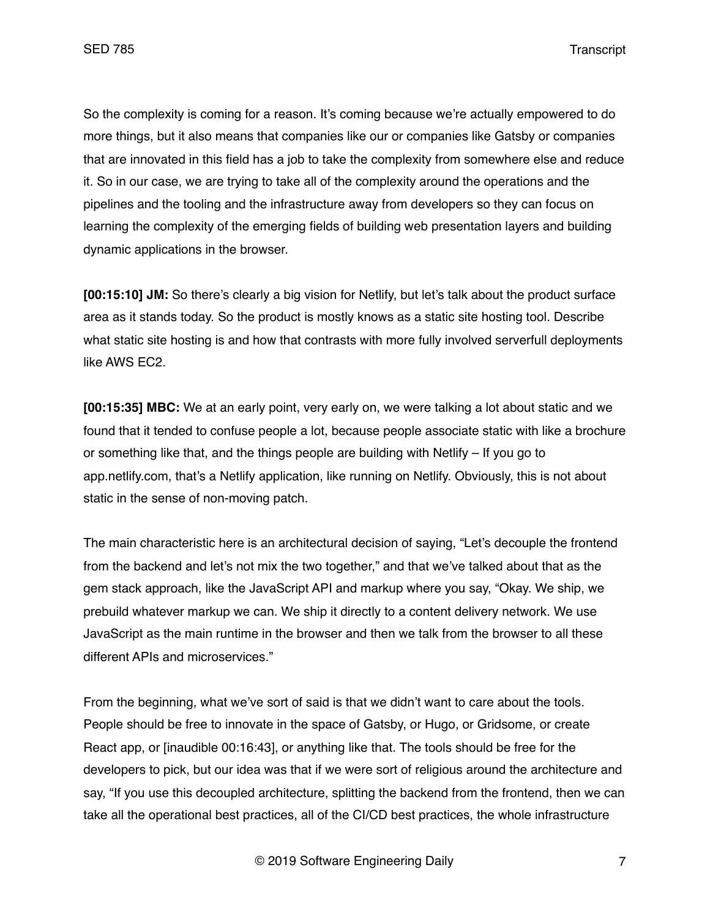So the complexity is coming for a reason. It's coming because we're actually empowered to do more things, but it also means that companies like our or companies like Gatsby or companies that are innovated in this field has a job to take the complexity from somewhere else and reduce it. So in our case, we are trying to take all of the complexity around the operations and the pipelines and the tooling and the infrastructure away from developers so they can focus on learning the complexity of the emerging fields of building web presentation layers and building dynamic applications in the browser.

**[00:15:10] JM:** So there's clearly a big vision for Netlify, but let's talk about the product surface area as it stands today. So the product is mostly knows as a static site hosting tool. Describe what static site hosting is and how that contrasts with more fully involved serverfull deployments like AWS EC2.

**[00:15:35] MBC:** We at an early point, very early on, we were talking a lot about static and we found that it tended to confuse people a lot, because people associate static with like a brochure or something like that, and the things people are building with Netlify – If you go to app.netlify.com, that's a Netlify application, like running on Netlify. Obviously, this is not about static in the sense of non-moving patch.

The main characteristic here is an architectural decision of saying, "Let's decouple the frontend from the backend and let's not mix the two together," and that we've talked about that as the gem stack approach, like the JavaScript API and markup where you say, "Okay. We ship, we prebuild whatever markup we can. We ship it directly to a content delivery network. We use JavaScript as the main runtime in the browser and then we talk from the browser to all these different APIs and microservices."

From the beginning, what we've sort of said is that we didn't want to care about the tools. People should be free to innovate in the space of Gatsby, or Hugo, or Gridsome, or create React app, or [inaudible 00:16:43], or anything like that. The tools should be free for the developers to pick, but our idea was that if we were sort of religious around the architecture and say, "If you use this decoupled architecture, splitting the backend from the frontend, then we can take all the operational best practices, all of the CI/CD best practices, the whole infrastructure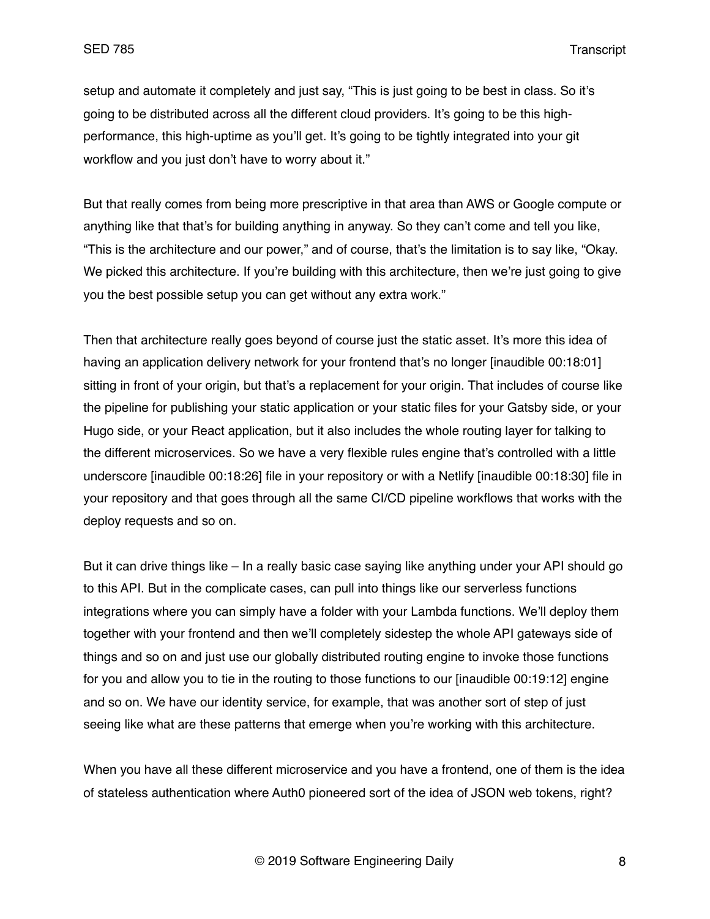setup and automate it completely and just say, "This is just going to be best in class. So it's going to be distributed across all the different cloud providers. It's going to be this highperformance, this high-uptime as you'll get. It's going to be tightly integrated into your git workflow and you just don't have to worry about it."

But that really comes from being more prescriptive in that area than AWS or Google compute or anything like that that's for building anything in anyway. So they can't come and tell you like, "This is the architecture and our power," and of course, that's the limitation is to say like, "Okay. We picked this architecture. If you're building with this architecture, then we're just going to give you the best possible setup you can get without any extra work."

Then that architecture really goes beyond of course just the static asset. It's more this idea of having an application delivery network for your frontend that's no longer [inaudible 00:18:01] sitting in front of your origin, but that's a replacement for your origin. That includes of course like the pipeline for publishing your static application or your static files for your Gatsby side, or your Hugo side, or your React application, but it also includes the whole routing layer for talking to the different microservices. So we have a very flexible rules engine that's controlled with a little underscore [inaudible 00:18:26] file in your repository or with a Netlify [inaudible 00:18:30] file in your repository and that goes through all the same CI/CD pipeline workflows that works with the deploy requests and so on.

But it can drive things like – In a really basic case saying like anything under your API should go to this API. But in the complicate cases, can pull into things like our serverless functions integrations where you can simply have a folder with your Lambda functions. We'll deploy them together with your frontend and then we'll completely sidestep the whole API gateways side of things and so on and just use our globally distributed routing engine to invoke those functions for you and allow you to tie in the routing to those functions to our [inaudible 00:19:12] engine and so on. We have our identity service, for example, that was another sort of step of just seeing like what are these patterns that emerge when you're working with this architecture.

When you have all these different microservice and you have a frontend, one of them is the idea of stateless authentication where Auth0 pioneered sort of the idea of JSON web tokens, right?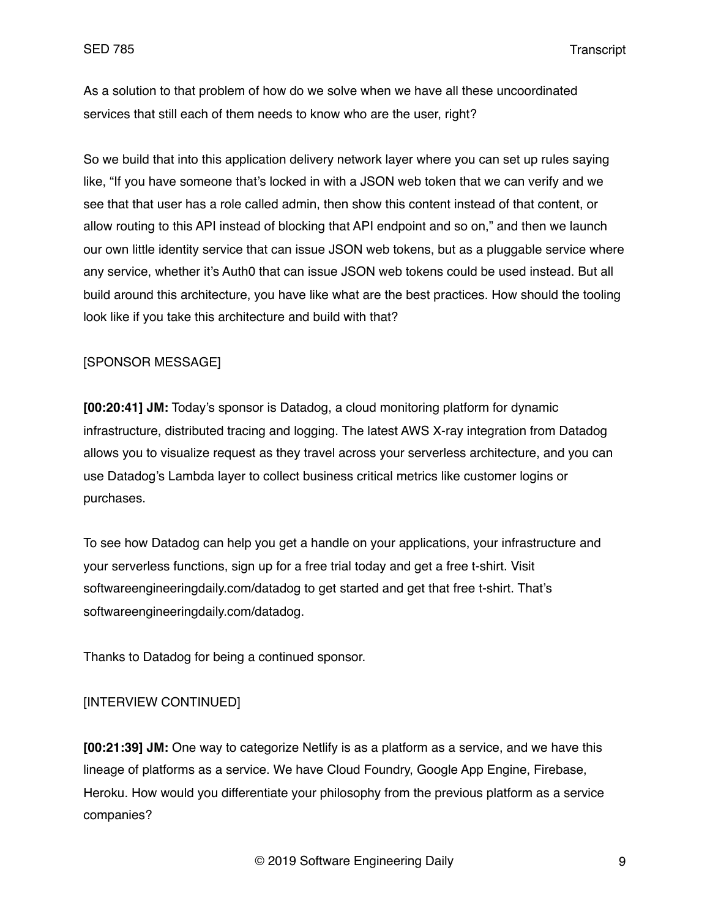As a solution to that problem of how do we solve when we have all these uncoordinated services that still each of them needs to know who are the user, right?

So we build that into this application delivery network layer where you can set up rules saying like, "If you have someone that's locked in with a JSON web token that we can verify and we see that that user has a role called admin, then show this content instead of that content, or allow routing to this API instead of blocking that API endpoint and so on," and then we launch our own little identity service that can issue JSON web tokens, but as a pluggable service where any service, whether it's Auth0 that can issue JSON web tokens could be used instead. But all build around this architecture, you have like what are the best practices. How should the tooling look like if you take this architecture and build with that?

## [SPONSOR MESSAGE]

**[00:20:41] JM:** Today's sponsor is Datadog, a cloud monitoring platform for dynamic infrastructure, distributed tracing and logging. The latest AWS X-ray integration from Datadog allows you to visualize request as they travel across your serverless architecture, and you can use Datadog's Lambda layer to collect business critical metrics like customer logins or purchases.

To see how Datadog can help you get a handle on your applications, your infrastructure and your serverless functions, sign up for a free trial today and get a free t-shirt. Visit softwareengineeringdaily.com/datadog to get started and get that free t-shirt. That's softwareengineeringdaily.com/datadog.

Thanks to Datadog for being a continued sponsor.

# [INTERVIEW CONTINUED]

**[00:21:39] JM:** One way to categorize Netlify is as a platform as a service, and we have this lineage of platforms as a service. We have Cloud Foundry, Google App Engine, Firebase, Heroku. How would you differentiate your philosophy from the previous platform as a service companies?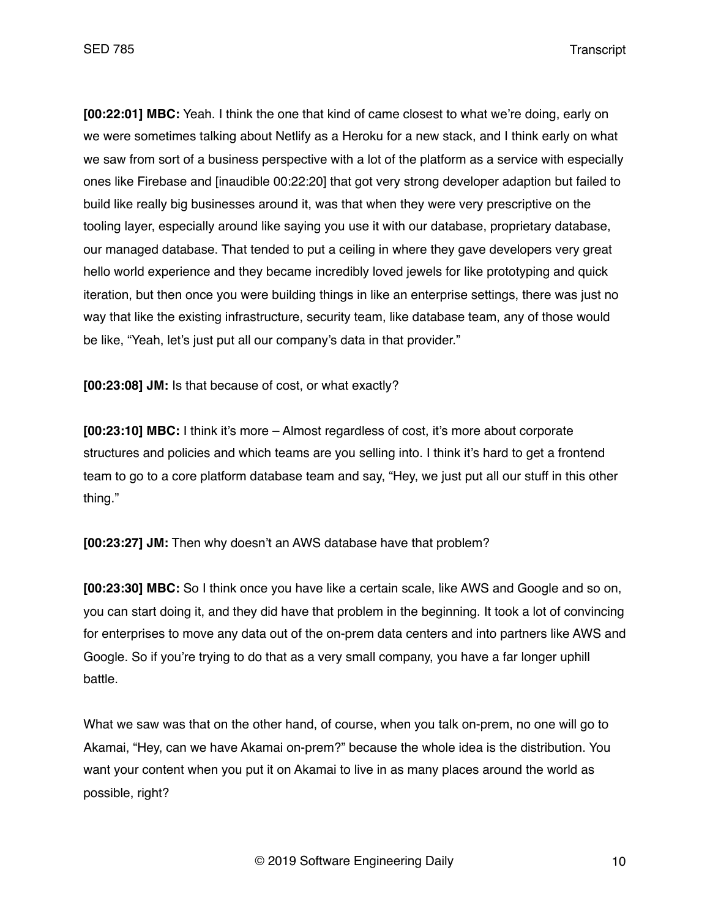**[00:22:01] MBC:** Yeah. I think the one that kind of came closest to what we're doing, early on we were sometimes talking about Netlify as a Heroku for a new stack, and I think early on what we saw from sort of a business perspective with a lot of the platform as a service with especially ones like Firebase and [inaudible 00:22:20] that got very strong developer adaption but failed to build like really big businesses around it, was that when they were very prescriptive on the tooling layer, especially around like saying you use it with our database, proprietary database, our managed database. That tended to put a ceiling in where they gave developers very great hello world experience and they became incredibly loved jewels for like prototyping and quick iteration, but then once you were building things in like an enterprise settings, there was just no way that like the existing infrastructure, security team, like database team, any of those would be like, "Yeah, let's just put all our company's data in that provider."

**[00:23:08] JM:** Is that because of cost, or what exactly?

**[00:23:10] MBC:** I think it's more – Almost regardless of cost, it's more about corporate structures and policies and which teams are you selling into. I think it's hard to get a frontend team to go to a core platform database team and say, "Hey, we just put all our stuff in this other thing."

**[00:23:27] JM:** Then why doesn't an AWS database have that problem?

**[00:23:30] MBC:** So I think once you have like a certain scale, like AWS and Google and so on, you can start doing it, and they did have that problem in the beginning. It took a lot of convincing for enterprises to move any data out of the on-prem data centers and into partners like AWS and Google. So if you're trying to do that as a very small company, you have a far longer uphill battle.

What we saw was that on the other hand, of course, when you talk on-prem, no one will go to Akamai, "Hey, can we have Akamai on-prem?" because the whole idea is the distribution. You want your content when you put it on Akamai to live in as many places around the world as possible, right?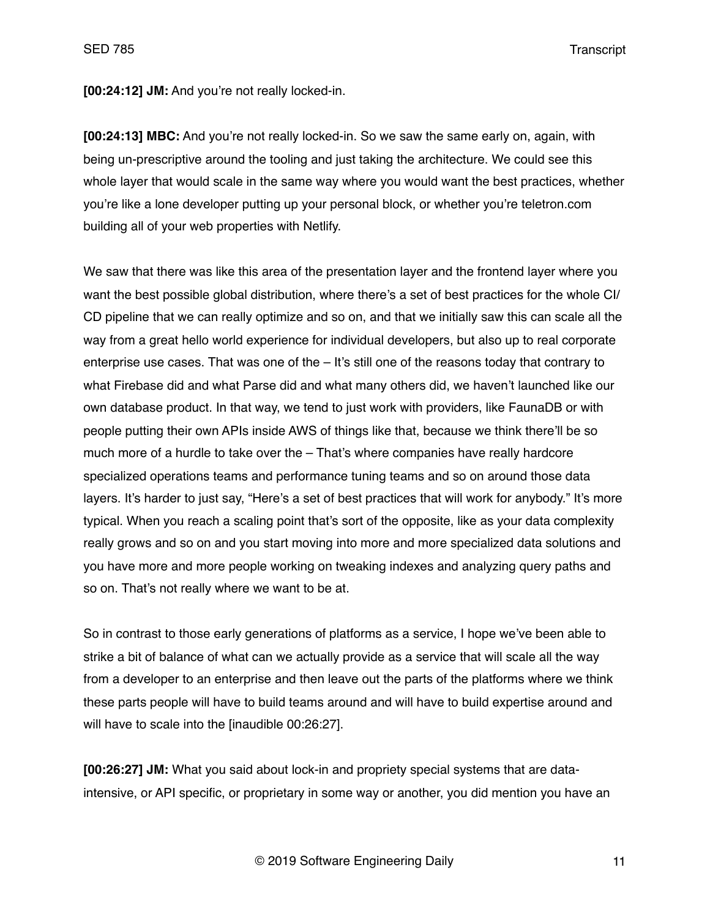**[00:24:12] JM:** And you're not really locked-in.

**[00:24:13] MBC:** And you're not really locked-in. So we saw the same early on, again, with being un-prescriptive around the tooling and just taking the architecture. We could see this whole layer that would scale in the same way where you would want the best practices, whether you're like a lone developer putting up your personal block, or whether you're teletron.com building all of your web properties with Netlify.

We saw that there was like this area of the presentation layer and the frontend layer where you want the best possible global distribution, where there's a set of best practices for the whole CI/ CD pipeline that we can really optimize and so on, and that we initially saw this can scale all the way from a great hello world experience for individual developers, but also up to real corporate enterprise use cases. That was one of the – It's still one of the reasons today that contrary to what Firebase did and what Parse did and what many others did, we haven't launched like our own database product. In that way, we tend to just work with providers, like FaunaDB or with people putting their own APIs inside AWS of things like that, because we think there'll be so much more of a hurdle to take over the – That's where companies have really hardcore specialized operations teams and performance tuning teams and so on around those data layers. It's harder to just say, "Here's a set of best practices that will work for anybody." It's more typical. When you reach a scaling point that's sort of the opposite, like as your data complexity really grows and so on and you start moving into more and more specialized data solutions and you have more and more people working on tweaking indexes and analyzing query paths and so on. That's not really where we want to be at.

So in contrast to those early generations of platforms as a service, I hope we've been able to strike a bit of balance of what can we actually provide as a service that will scale all the way from a developer to an enterprise and then leave out the parts of the platforms where we think these parts people will have to build teams around and will have to build expertise around and will have to scale into the [inaudible 00:26:27].

**[00:26:27] JM:** What you said about lock-in and propriety special systems that are dataintensive, or API specific, or proprietary in some way or another, you did mention you have an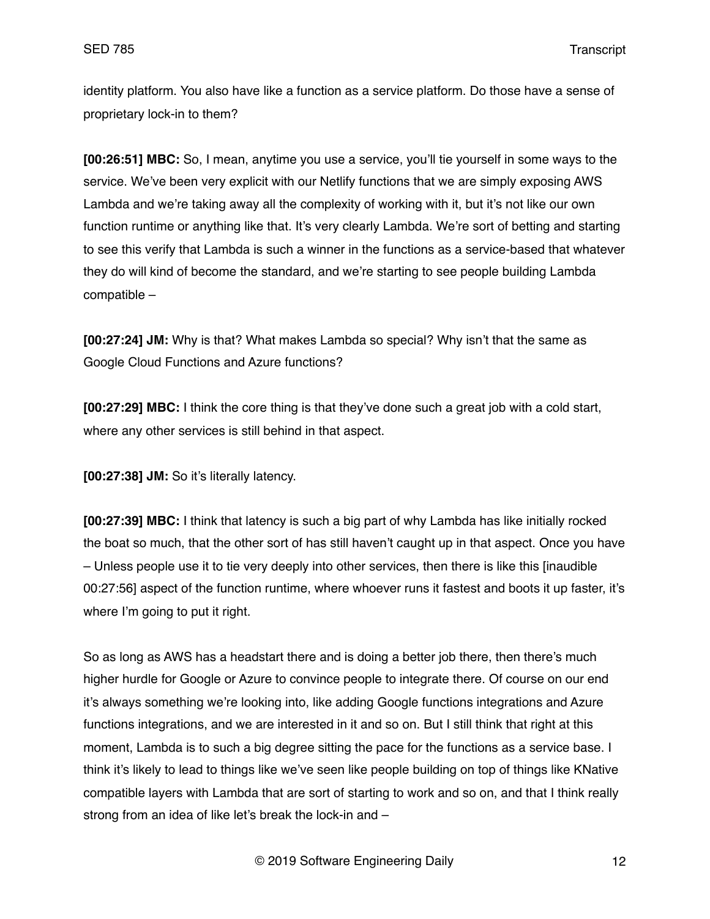identity platform. You also have like a function as a service platform. Do those have a sense of proprietary lock-in to them?

**[00:26:51] MBC:** So, I mean, anytime you use a service, you'll tie yourself in some ways to the service. We've been very explicit with our Netlify functions that we are simply exposing AWS Lambda and we're taking away all the complexity of working with it, but it's not like our own function runtime or anything like that. It's very clearly Lambda. We're sort of betting and starting to see this verify that Lambda is such a winner in the functions as a service-based that whatever they do will kind of become the standard, and we're starting to see people building Lambda compatible –

**[00:27:24] JM:** Why is that? What makes Lambda so special? Why isn't that the same as Google Cloud Functions and Azure functions?

**[00:27:29] MBC:** I think the core thing is that they've done such a great job with a cold start, where any other services is still behind in that aspect.

**[00:27:38] JM:** So it's literally latency.

**[00:27:39] MBC:** I think that latency is such a big part of why Lambda has like initially rocked the boat so much, that the other sort of has still haven't caught up in that aspect. Once you have – Unless people use it to tie very deeply into other services, then there is like this [inaudible 00:27:56] aspect of the function runtime, where whoever runs it fastest and boots it up faster, it's where I'm going to put it right.

So as long as AWS has a headstart there and is doing a better job there, then there's much higher hurdle for Google or Azure to convince people to integrate there. Of course on our end it's always something we're looking into, like adding Google functions integrations and Azure functions integrations, and we are interested in it and so on. But I still think that right at this moment, Lambda is to such a big degree sitting the pace for the functions as a service base. I think it's likely to lead to things like we've seen like people building on top of things like KNative compatible layers with Lambda that are sort of starting to work and so on, and that I think really strong from an idea of like let's break the lock-in and –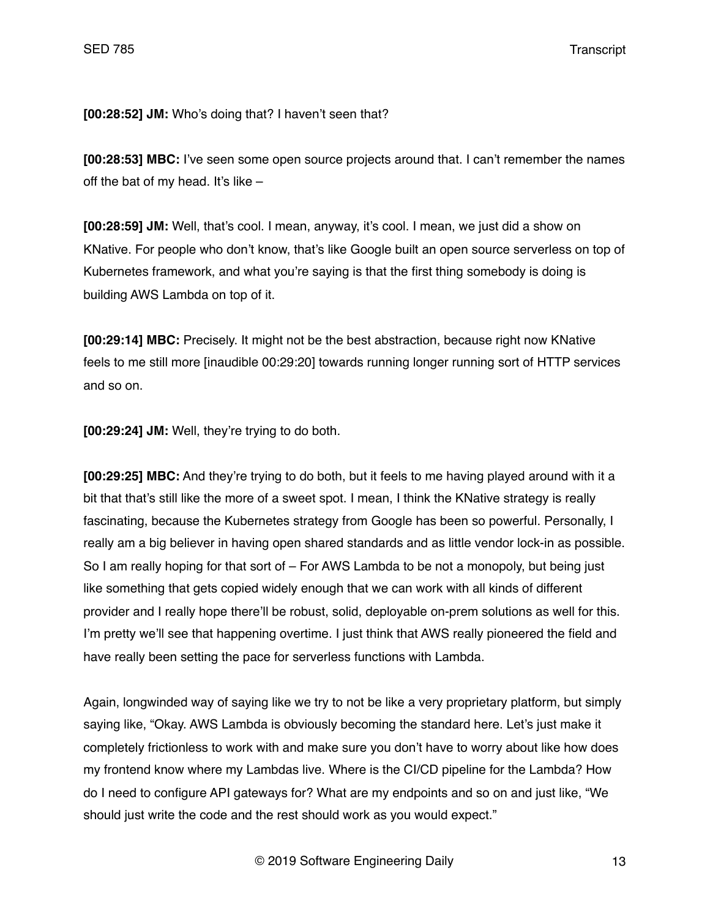**[00:28:52] JM:** Who's doing that? I haven't seen that?

**[00:28:53] MBC:** I've seen some open source projects around that. I can't remember the names off the bat of my head. It's like  $-$ 

**[00:28:59] JM:** Well, that's cool. I mean, anyway, it's cool. I mean, we just did a show on KNative. For people who don't know, that's like Google built an open source serverless on top of Kubernetes framework, and what you're saying is that the first thing somebody is doing is building AWS Lambda on top of it.

**[00:29:14] MBC:** Precisely. It might not be the best abstraction, because right now KNative feels to me still more [inaudible 00:29:20] towards running longer running sort of HTTP services and so on.

**[00:29:24] JM:** Well, they're trying to do both.

**[00:29:25] MBC:** And they're trying to do both, but it feels to me having played around with it a bit that that's still like the more of a sweet spot. I mean, I think the KNative strategy is really fascinating, because the Kubernetes strategy from Google has been so powerful. Personally, I really am a big believer in having open shared standards and as little vendor lock-in as possible. So I am really hoping for that sort of – For AWS Lambda to be not a monopoly, but being just like something that gets copied widely enough that we can work with all kinds of different provider and I really hope there'll be robust, solid, deployable on-prem solutions as well for this. I'm pretty we'll see that happening overtime. I just think that AWS really pioneered the field and have really been setting the pace for serverless functions with Lambda.

Again, longwinded way of saying like we try to not be like a very proprietary platform, but simply saying like, "Okay. AWS Lambda is obviously becoming the standard here. Let's just make it completely frictionless to work with and make sure you don't have to worry about like how does my frontend know where my Lambdas live. Where is the CI/CD pipeline for the Lambda? How do I need to configure API gateways for? What are my endpoints and so on and just like, "We should just write the code and the rest should work as you would expect."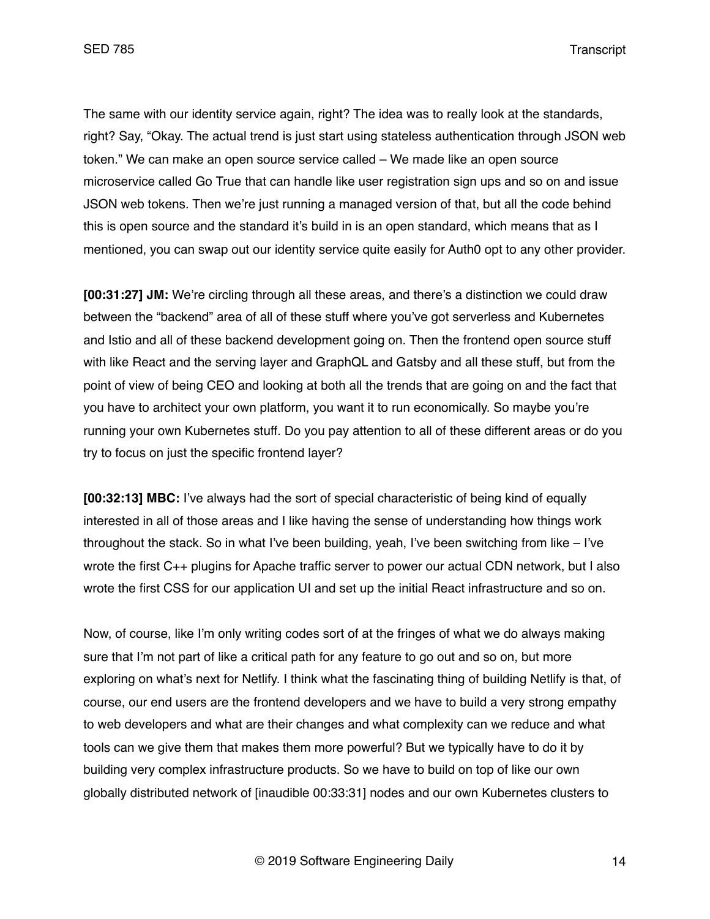The same with our identity service again, right? The idea was to really look at the standards, right? Say, "Okay. The actual trend is just start using stateless authentication through JSON web token." We can make an open source service called – We made like an open source microservice called Go True that can handle like user registration sign ups and so on and issue JSON web tokens. Then we're just running a managed version of that, but all the code behind this is open source and the standard it's build in is an open standard, which means that as I mentioned, you can swap out our identity service quite easily for Auth0 opt to any other provider.

**[00:31:27] JM:** We're circling through all these areas, and there's a distinction we could draw between the "backend" area of all of these stuff where you've got serverless and Kubernetes and Istio and all of these backend development going on. Then the frontend open source stuff with like React and the serving layer and GraphQL and Gatsby and all these stuff, but from the point of view of being CEO and looking at both all the trends that are going on and the fact that you have to architect your own platform, you want it to run economically. So maybe you're running your own Kubernetes stuff. Do you pay attention to all of these different areas or do you try to focus on just the specific frontend layer?

**[00:32:13] MBC:** I've always had the sort of special characteristic of being kind of equally interested in all of those areas and I like having the sense of understanding how things work throughout the stack. So in what I've been building, yeah, I've been switching from like – I've wrote the first C++ plugins for Apache traffic server to power our actual CDN network, but I also wrote the first CSS for our application UI and set up the initial React infrastructure and so on.

Now, of course, like I'm only writing codes sort of at the fringes of what we do always making sure that I'm not part of like a critical path for any feature to go out and so on, but more exploring on what's next for Netlify. I think what the fascinating thing of building Netlify is that, of course, our end users are the frontend developers and we have to build a very strong empathy to web developers and what are their changes and what complexity can we reduce and what tools can we give them that makes them more powerful? But we typically have to do it by building very complex infrastructure products. So we have to build on top of like our own globally distributed network of [inaudible 00:33:31] nodes and our own Kubernetes clusters to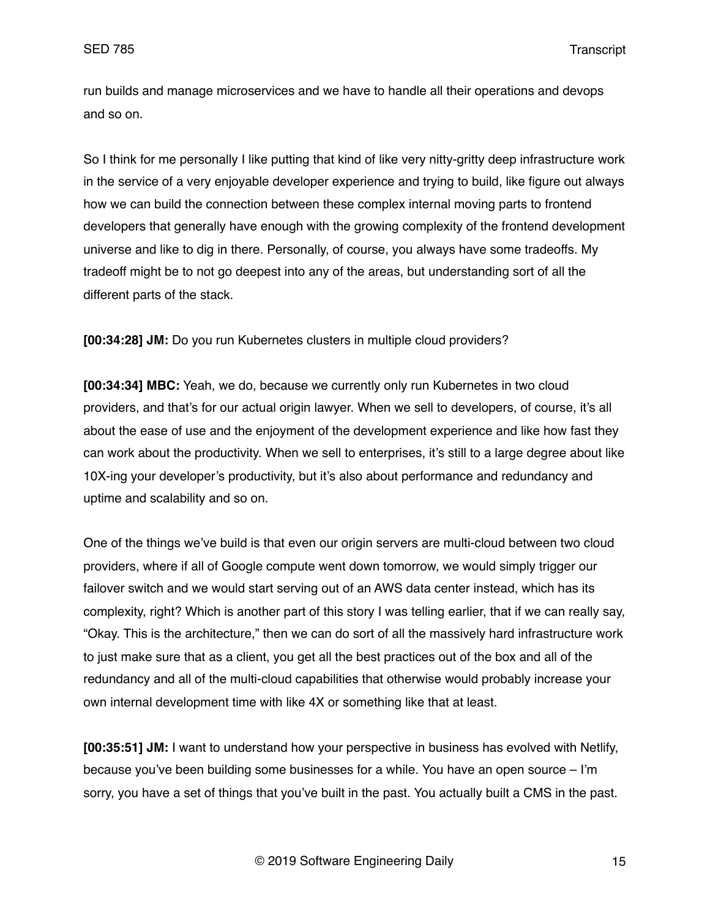run builds and manage microservices and we have to handle all their operations and devops and so on.

So I think for me personally I like putting that kind of like very nitty-gritty deep infrastructure work in the service of a very enjoyable developer experience and trying to build, like figure out always how we can build the connection between these complex internal moving parts to frontend developers that generally have enough with the growing complexity of the frontend development universe and like to dig in there. Personally, of course, you always have some tradeoffs. My tradeoff might be to not go deepest into any of the areas, but understanding sort of all the different parts of the stack.

**[00:34:28] JM:** Do you run Kubernetes clusters in multiple cloud providers?

**[00:34:34] MBC:** Yeah, we do, because we currently only run Kubernetes in two cloud providers, and that's for our actual origin lawyer. When we sell to developers, of course, it's all about the ease of use and the enjoyment of the development experience and like how fast they can work about the productivity. When we sell to enterprises, it's still to a large degree about like 10X-ing your developer's productivity, but it's also about performance and redundancy and uptime and scalability and so on.

One of the things we've build is that even our origin servers are multi-cloud between two cloud providers, where if all of Google compute went down tomorrow, we would simply trigger our failover switch and we would start serving out of an AWS data center instead, which has its complexity, right? Which is another part of this story I was telling earlier, that if we can really say, "Okay. This is the architecture," then we can do sort of all the massively hard infrastructure work to just make sure that as a client, you get all the best practices out of the box and all of the redundancy and all of the multi-cloud capabilities that otherwise would probably increase your own internal development time with like 4X or something like that at least.

**[00:35:51] JM:** I want to understand how your perspective in business has evolved with Netlify, because you've been building some businesses for a while. You have an open source – I'm sorry, you have a set of things that you've built in the past. You actually built a CMS in the past.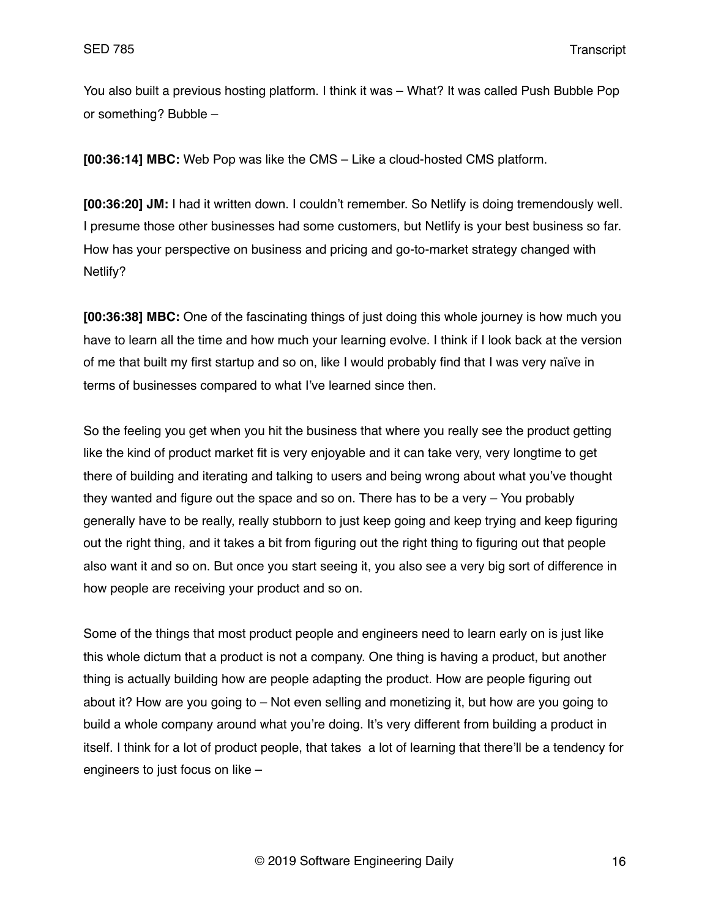You also built a previous hosting platform. I think it was – What? It was called Push Bubble Pop or something? Bubble –

**[00:36:14] MBC:** Web Pop was like the CMS – Like a cloud-hosted CMS platform.

**[00:36:20] JM:** I had it written down. I couldn't remember. So Netlify is doing tremendously well. I presume those other businesses had some customers, but Netlify is your best business so far. How has your perspective on business and pricing and go-to-market strategy changed with Netlify?

**[00:36:38] MBC:** One of the fascinating things of just doing this whole journey is how much you have to learn all the time and how much your learning evolve. I think if I look back at the version of me that built my first startup and so on, like I would probably find that I was very naïve in terms of businesses compared to what I've learned since then.

So the feeling you get when you hit the business that where you really see the product getting like the kind of product market fit is very enjoyable and it can take very, very longtime to get there of building and iterating and talking to users and being wrong about what you've thought they wanted and figure out the space and so on. There has to be a very – You probably generally have to be really, really stubborn to just keep going and keep trying and keep figuring out the right thing, and it takes a bit from figuring out the right thing to figuring out that people also want it and so on. But once you start seeing it, you also see a very big sort of difference in how people are receiving your product and so on.

Some of the things that most product people and engineers need to learn early on is just like this whole dictum that a product is not a company. One thing is having a product, but another thing is actually building how are people adapting the product. How are people figuring out about it? How are you going to – Not even selling and monetizing it, but how are you going to build a whole company around what you're doing. It's very different from building a product in itself. I think for a lot of product people, that takes a lot of learning that there'll be a tendency for engineers to just focus on like –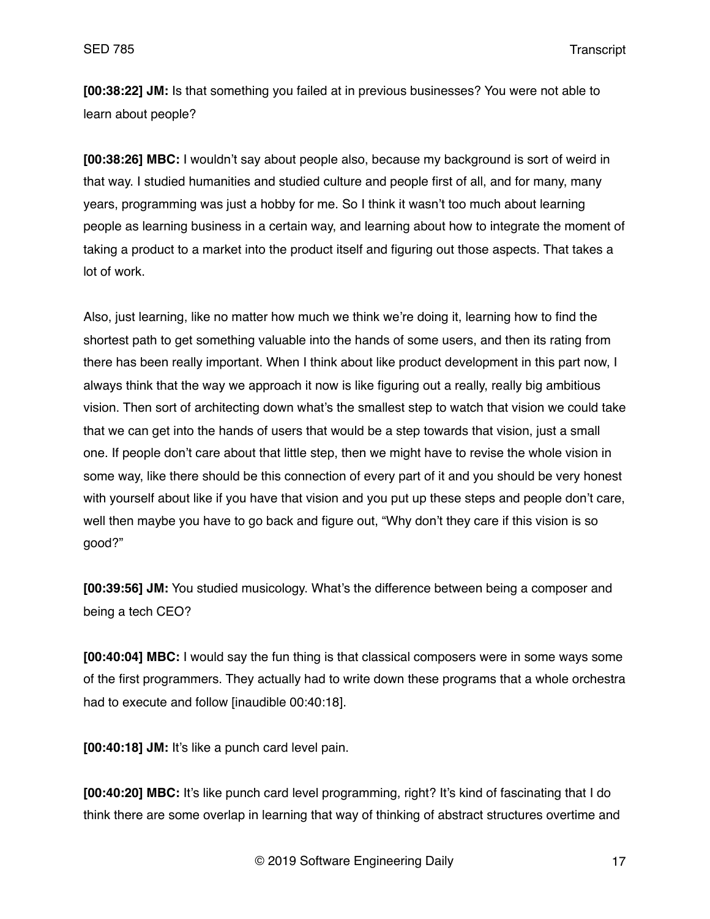**[00:38:22] JM:** Is that something you failed at in previous businesses? You were not able to learn about people?

**[00:38:26] MBC:** I wouldn't say about people also, because my background is sort of weird in that way. I studied humanities and studied culture and people first of all, and for many, many years, programming was just a hobby for me. So I think it wasn't too much about learning people as learning business in a certain way, and learning about how to integrate the moment of taking a product to a market into the product itself and figuring out those aspects. That takes a lot of work.

Also, just learning, like no matter how much we think we're doing it, learning how to find the shortest path to get something valuable into the hands of some users, and then its rating from there has been really important. When I think about like product development in this part now, I always think that the way we approach it now is like figuring out a really, really big ambitious vision. Then sort of architecting down what's the smallest step to watch that vision we could take that we can get into the hands of users that would be a step towards that vision, just a small one. If people don't care about that little step, then we might have to revise the whole vision in some way, like there should be this connection of every part of it and you should be very honest with yourself about like if you have that vision and you put up these steps and people don't care, well then maybe you have to go back and figure out, "Why don't they care if this vision is so good?"

**[00:39:56] JM:** You studied musicology. What's the difference between being a composer and being a tech CEO?

**[00:40:04] MBC:** I would say the fun thing is that classical composers were in some ways some of the first programmers. They actually had to write down these programs that a whole orchestra had to execute and follow [inaudible 00:40:18].

**[00:40:18] JM:** It's like a punch card level pain.

**[00:40:20] MBC:** It's like punch card level programming, right? It's kind of fascinating that I do think there are some overlap in learning that way of thinking of abstract structures overtime and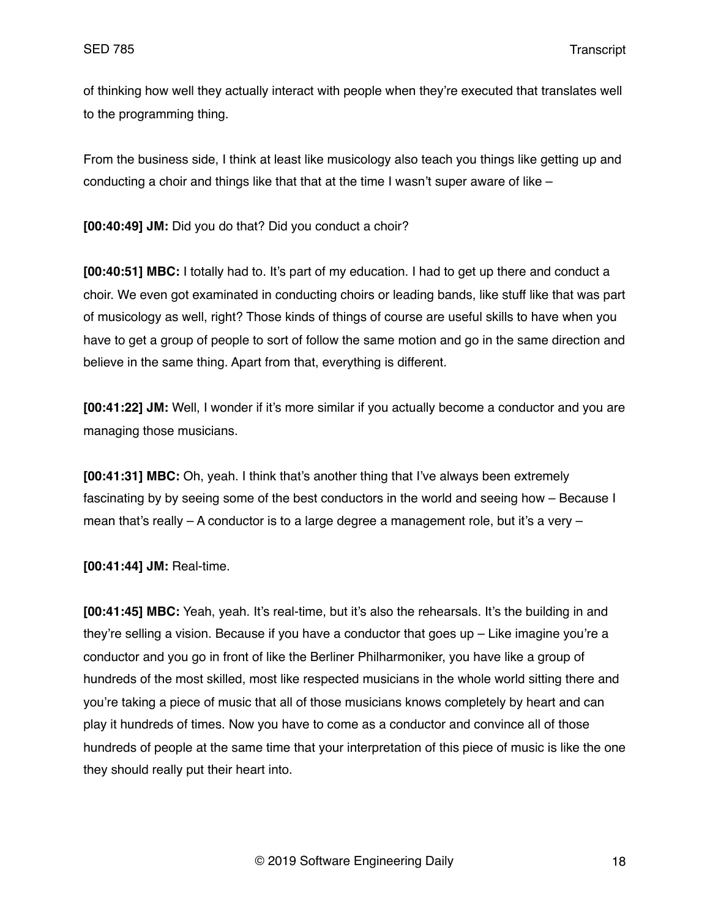of thinking how well they actually interact with people when they're executed that translates well to the programming thing.

From the business side, I think at least like musicology also teach you things like getting up and conducting a choir and things like that that at the time I wasn't super aware of like –

**[00:40:49] JM:** Did you do that? Did you conduct a choir?

**[00:40:51] MBC:** I totally had to. It's part of my education. I had to get up there and conduct a choir. We even got examinated in conducting choirs or leading bands, like stuff like that was part of musicology as well, right? Those kinds of things of course are useful skills to have when you have to get a group of people to sort of follow the same motion and go in the same direction and believe in the same thing. Apart from that, everything is different.

**[00:41:22] JM:** Well, I wonder if it's more similar if you actually become a conductor and you are managing those musicians.

**[00:41:31] MBC:** Oh, yeah. I think that's another thing that I've always been extremely fascinating by by seeing some of the best conductors in the world and seeing how – Because I mean that's really – A conductor is to a large degree a management role, but it's a very –

**[00:41:44] JM:** Real-time.

**[00:41:45] MBC:** Yeah, yeah. It's real-time, but it's also the rehearsals. It's the building in and they're selling a vision. Because if you have a conductor that goes up – Like imagine you're a conductor and you go in front of like the Berliner Philharmoniker, you have like a group of hundreds of the most skilled, most like respected musicians in the whole world sitting there and you're taking a piece of music that all of those musicians knows completely by heart and can play it hundreds of times. Now you have to come as a conductor and convince all of those hundreds of people at the same time that your interpretation of this piece of music is like the one they should really put their heart into.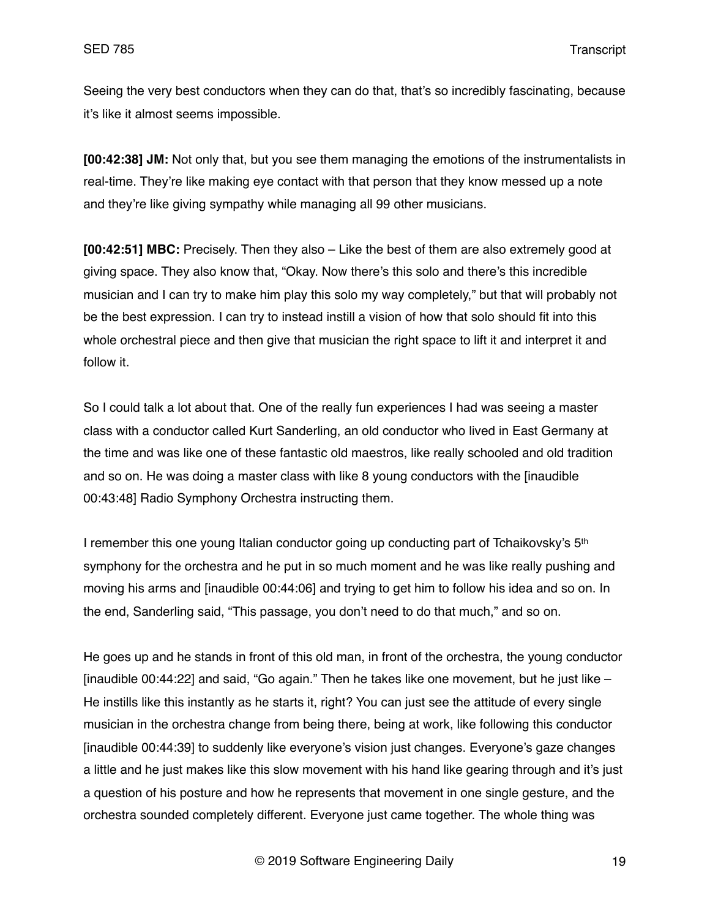Seeing the very best conductors when they can do that, that's so incredibly fascinating, because it's like it almost seems impossible.

**[00:42:38] JM:** Not only that, but you see them managing the emotions of the instrumentalists in real-time. They're like making eye contact with that person that they know messed up a note and they're like giving sympathy while managing all 99 other musicians.

**[00:42:51] MBC:** Precisely. Then they also – Like the best of them are also extremely good at giving space. They also know that, "Okay. Now there's this solo and there's this incredible musician and I can try to make him play this solo my way completely," but that will probably not be the best expression. I can try to instead instill a vision of how that solo should fit into this whole orchestral piece and then give that musician the right space to lift it and interpret it and follow it.

So I could talk a lot about that. One of the really fun experiences I had was seeing a master class with a conductor called Kurt Sanderling, an old conductor who lived in East Germany at the time and was like one of these fantastic old maestros, like really schooled and old tradition and so on. He was doing a master class with like 8 young conductors with the [inaudible 00:43:48] Radio Symphony Orchestra instructing them.

I remember this one young Italian conductor going up conducting part of Tchaikovsky's  $5<sup>th</sup>$ symphony for the orchestra and he put in so much moment and he was like really pushing and moving his arms and [inaudible 00:44:06] and trying to get him to follow his idea and so on. In the end, Sanderling said, "This passage, you don't need to do that much," and so on.

He goes up and he stands in front of this old man, in front of the orchestra, the young conductor [inaudible 00:44:22] and said, "Go again." Then he takes like one movement, but he just like – He instills like this instantly as he starts it, right? You can just see the attitude of every single musician in the orchestra change from being there, being at work, like following this conductor [inaudible 00:44:39] to suddenly like everyone's vision just changes. Everyone's gaze changes a little and he just makes like this slow movement with his hand like gearing through and it's just a question of his posture and how he represents that movement in one single gesture, and the orchestra sounded completely different. Everyone just came together. The whole thing was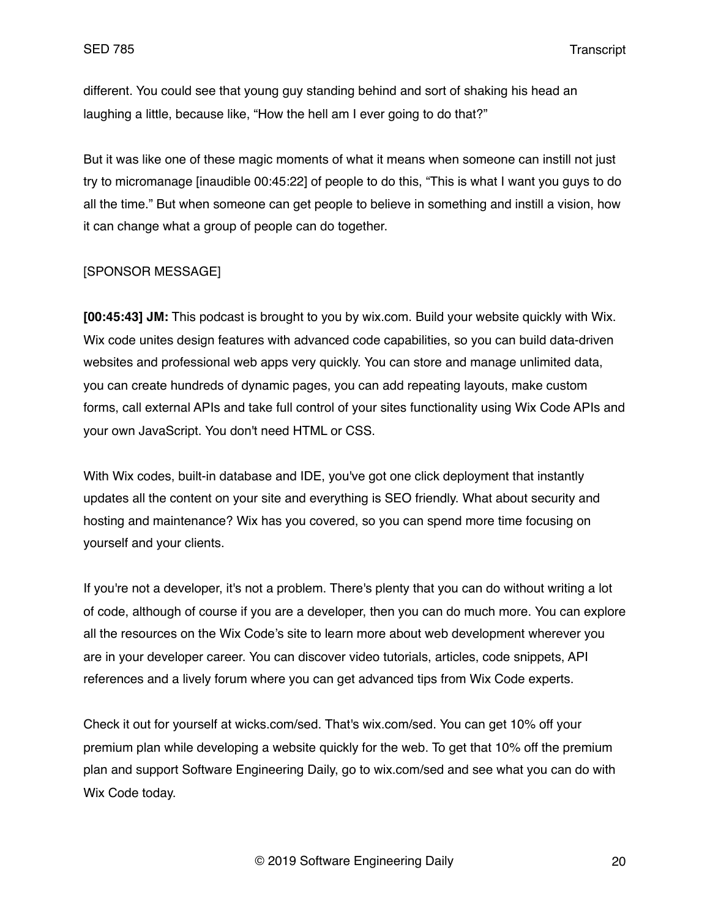different. You could see that young guy standing behind and sort of shaking his head an laughing a little, because like, "How the hell am I ever going to do that?"

But it was like one of these magic moments of what it means when someone can instill not just try to micromanage [inaudible 00:45:22] of people to do this, "This is what I want you guys to do all the time." But when someone can get people to believe in something and instill a vision, how it can change what a group of people can do together.

## [SPONSOR MESSAGE]

**[00:45:43] JM:** This podcast is brought to you by wix.com. Build your website quickly with Wix. Wix code unites design features with advanced code capabilities, so you can build data-driven websites and professional web apps very quickly. You can store and manage unlimited data, you can create hundreds of dynamic pages, you can add repeating layouts, make custom forms, call external APIs and take full control of your sites functionality using Wix Code APIs and your own JavaScript. You don't need HTML or CSS.

With Wix codes, built-in database and IDE, you've got one click deployment that instantly updates all the content on your site and everything is SEO friendly. What about security and hosting and maintenance? Wix has you covered, so you can spend more time focusing on yourself and your clients.

If you're not a developer, it's not a problem. There's plenty that you can do without writing a lot of code, although of course if you are a developer, then you can do much more. You can explore all the resources on the Wix Code's site to learn more about web development wherever you are in your developer career. You can discover video tutorials, articles, code snippets, API references and a lively forum where you can get advanced tips from Wix Code experts.

Check it out for yourself at wicks.com/sed. That's wix.com/sed. You can get 10% off your premium plan while developing a website quickly for the web. To get that 10% off the premium plan and support Software Engineering Daily, go to wix.com/sed and see what you can do with Wix Code today.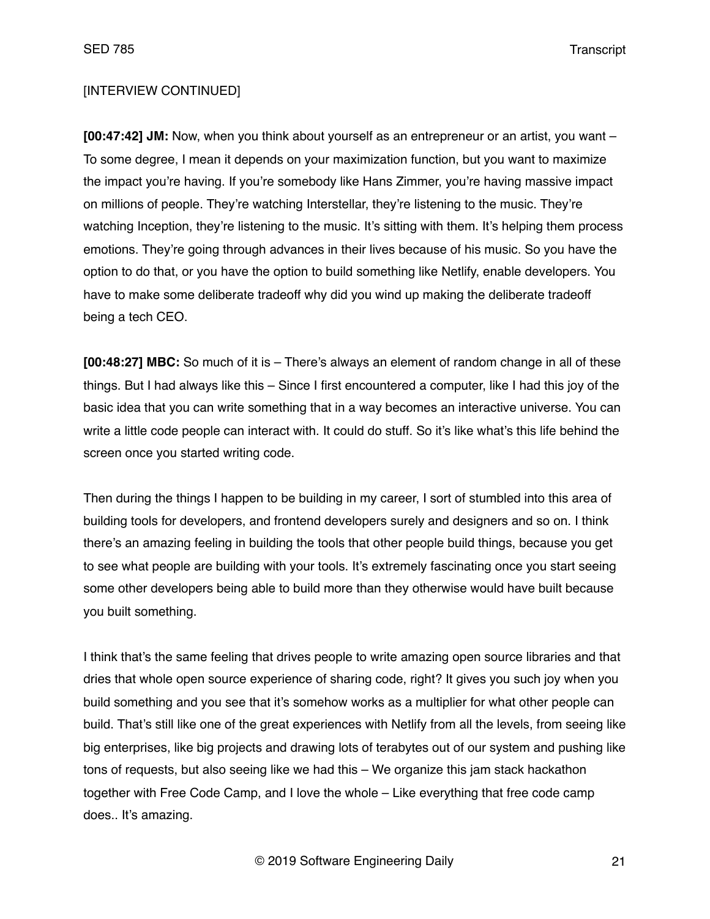# [INTERVIEW CONTINUED]

**[00:47:42] JM:** Now, when you think about yourself as an entrepreneur or an artist, you want – To some degree, I mean it depends on your maximization function, but you want to maximize the impact you're having. If you're somebody like Hans Zimmer, you're having massive impact on millions of people. They're watching Interstellar, they're listening to the music. They're watching Inception, they're listening to the music. It's sitting with them. It's helping them process emotions. They're going through advances in their lives because of his music. So you have the option to do that, or you have the option to build something like Netlify, enable developers. You have to make some deliberate tradeoff why did you wind up making the deliberate tradeoff being a tech CEO.

**[00:48:27] MBC:** So much of it is – There's always an element of random change in all of these things. But I had always like this – Since I first encountered a computer, like I had this joy of the basic idea that you can write something that in a way becomes an interactive universe. You can write a little code people can interact with. It could do stuff. So it's like what's this life behind the screen once you started writing code.

Then during the things I happen to be building in my career, I sort of stumbled into this area of building tools for developers, and frontend developers surely and designers and so on. I think there's an amazing feeling in building the tools that other people build things, because you get to see what people are building with your tools. It's extremely fascinating once you start seeing some other developers being able to build more than they otherwise would have built because you built something.

I think that's the same feeling that drives people to write amazing open source libraries and that dries that whole open source experience of sharing code, right? It gives you such joy when you build something and you see that it's somehow works as a multiplier for what other people can build. That's still like one of the great experiences with Netlify from all the levels, from seeing like big enterprises, like big projects and drawing lots of terabytes out of our system and pushing like tons of requests, but also seeing like we had this – We organize this jam stack hackathon together with Free Code Camp, and I love the whole – Like everything that free code camp does.. It's amazing.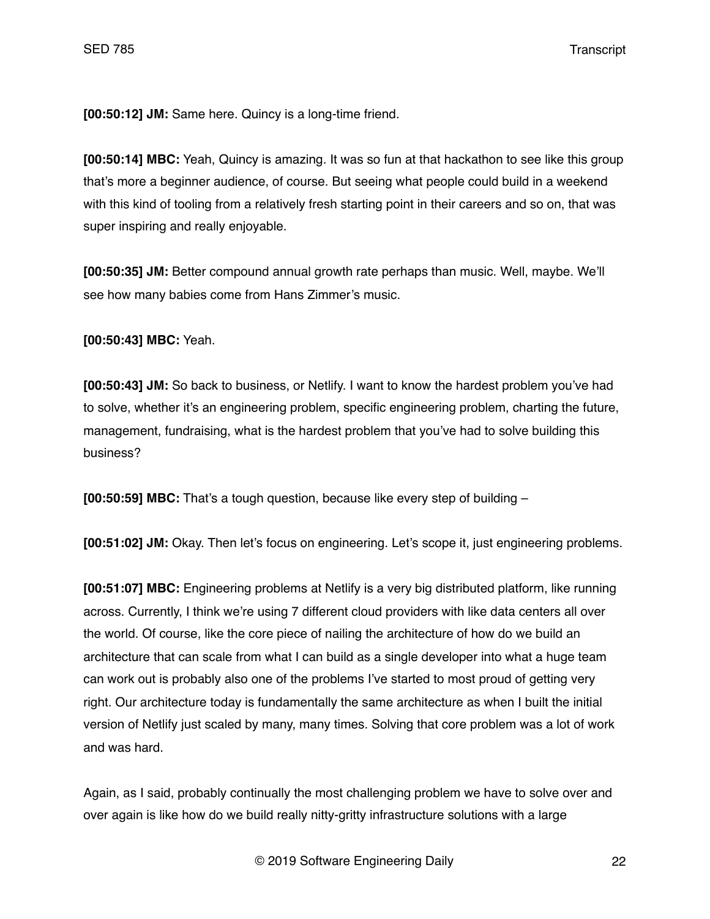**[00:50:12] JM:** Same here. Quincy is a long-time friend.

**[00:50:14] MBC:** Yeah, Quincy is amazing. It was so fun at that hackathon to see like this group that's more a beginner audience, of course. But seeing what people could build in a weekend with this kind of tooling from a relatively fresh starting point in their careers and so on, that was super inspiring and really enjoyable.

**[00:50:35] JM:** Better compound annual growth rate perhaps than music. Well, maybe. We'll see how many babies come from Hans Zimmer's music.

**[00:50:43] MBC:** Yeah.

**[00:50:43] JM:** So back to business, or Netlify. I want to know the hardest problem you've had to solve, whether it's an engineering problem, specific engineering problem, charting the future, management, fundraising, what is the hardest problem that you've had to solve building this business?

**[00:50:59] MBC:** That's a tough question, because like every step of building –

**[00:51:02] JM:** Okay. Then let's focus on engineering. Let's scope it, just engineering problems.

**[00:51:07] MBC:** Engineering problems at Netlify is a very big distributed platform, like running across. Currently, I think we're using 7 different cloud providers with like data centers all over the world. Of course, like the core piece of nailing the architecture of how do we build an architecture that can scale from what I can build as a single developer into what a huge team can work out is probably also one of the problems I've started to most proud of getting very right. Our architecture today is fundamentally the same architecture as when I built the initial version of Netlify just scaled by many, many times. Solving that core problem was a lot of work and was hard.

Again, as I said, probably continually the most challenging problem we have to solve over and over again is like how do we build really nitty-gritty infrastructure solutions with a large

© 2019 Software Engineering Daily 22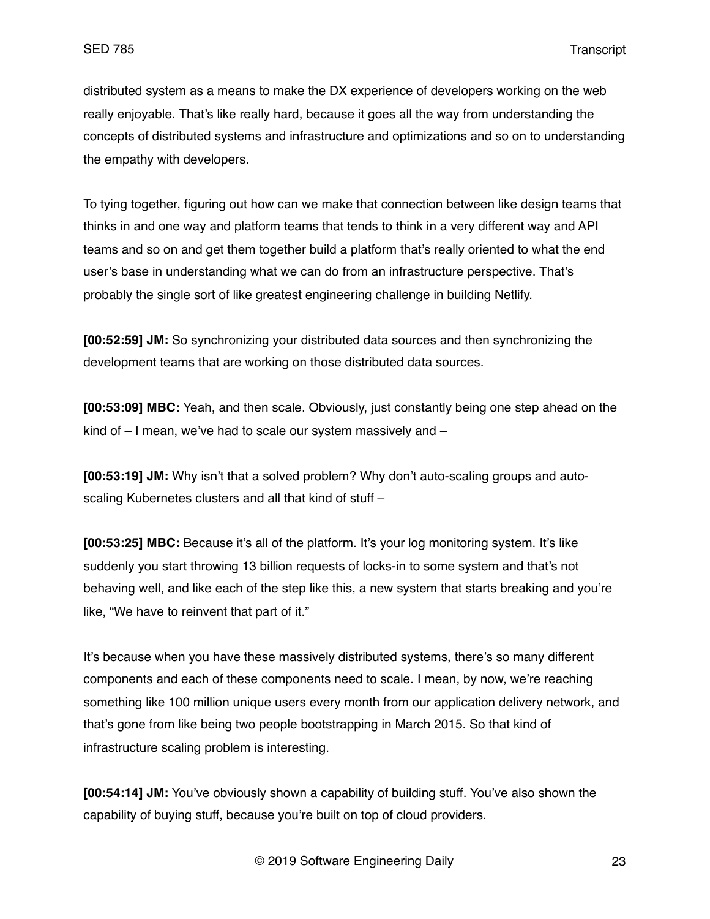distributed system as a means to make the DX experience of developers working on the web really enjoyable. That's like really hard, because it goes all the way from understanding the concepts of distributed systems and infrastructure and optimizations and so on to understanding the empathy with developers.

To tying together, figuring out how can we make that connection between like design teams that thinks in and one way and platform teams that tends to think in a very different way and API teams and so on and get them together build a platform that's really oriented to what the end user's base in understanding what we can do from an infrastructure perspective. That's probably the single sort of like greatest engineering challenge in building Netlify.

**[00:52:59] JM:** So synchronizing your distributed data sources and then synchronizing the development teams that are working on those distributed data sources.

**[00:53:09] MBC:** Yeah, and then scale. Obviously, just constantly being one step ahead on the kind of – I mean, we've had to scale our system massively and –

**[00:53:19] JM:** Why isn't that a solved problem? Why don't auto-scaling groups and autoscaling Kubernetes clusters and all that kind of stuff –

**[00:53:25] MBC:** Because it's all of the platform. It's your log monitoring system. It's like suddenly you start throwing 13 billion requests of locks-in to some system and that's not behaving well, and like each of the step like this, a new system that starts breaking and you're like, "We have to reinvent that part of it."

It's because when you have these massively distributed systems, there's so many different components and each of these components need to scale. I mean, by now, we're reaching something like 100 million unique users every month from our application delivery network, and that's gone from like being two people bootstrapping in March 2015. So that kind of infrastructure scaling problem is interesting.

**[00:54:14] JM:** You've obviously shown a capability of building stuff. You've also shown the capability of buying stuff, because you're built on top of cloud providers.

© 2019 Software Engineering Daily 23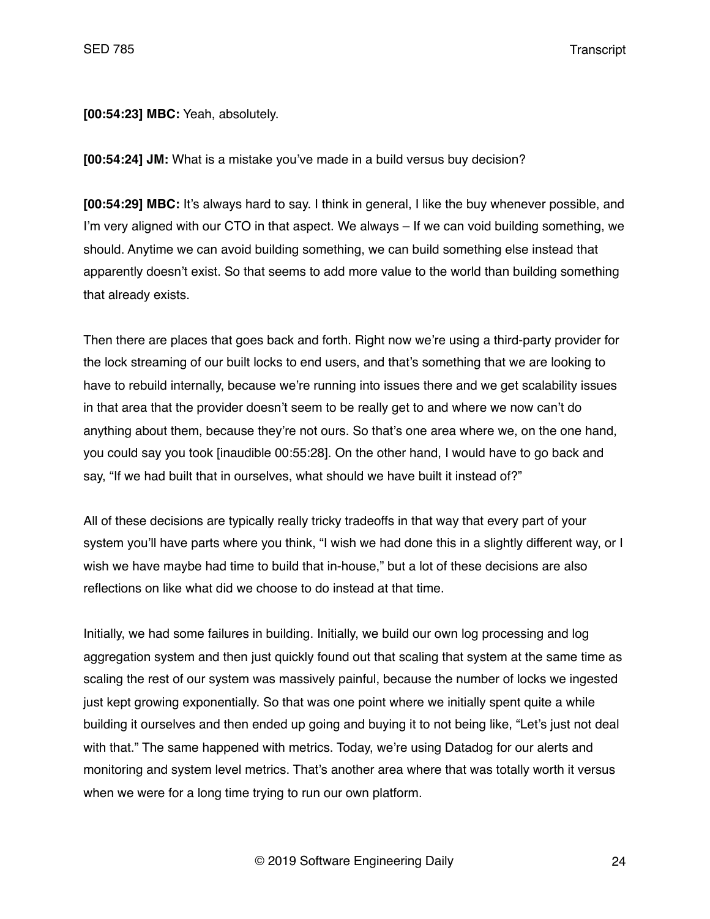**[00:54:23] MBC:** Yeah, absolutely.

**[00:54:24] JM:** What is a mistake you've made in a build versus buy decision?

**[00:54:29] MBC:** It's always hard to say. I think in general, I like the buy whenever possible, and I'm very aligned with our CTO in that aspect. We always – If we can void building something, we should. Anytime we can avoid building something, we can build something else instead that apparently doesn't exist. So that seems to add more value to the world than building something that already exists.

Then there are places that goes back and forth. Right now we're using a third-party provider for the lock streaming of our built locks to end users, and that's something that we are looking to have to rebuild internally, because we're running into issues there and we get scalability issues in that area that the provider doesn't seem to be really get to and where we now can't do anything about them, because they're not ours. So that's one area where we, on the one hand, you could say you took [inaudible 00:55:28]. On the other hand, I would have to go back and say, "If we had built that in ourselves, what should we have built it instead of?"

All of these decisions are typically really tricky tradeoffs in that way that every part of your system you'll have parts where you think, "I wish we had done this in a slightly different way, or I wish we have maybe had time to build that in-house," but a lot of these decisions are also reflections on like what did we choose to do instead at that time.

Initially, we had some failures in building. Initially, we build our own log processing and log aggregation system and then just quickly found out that scaling that system at the same time as scaling the rest of our system was massively painful, because the number of locks we ingested just kept growing exponentially. So that was one point where we initially spent quite a while building it ourselves and then ended up going and buying it to not being like, "Let's just not deal with that." The same happened with metrics. Today, we're using Datadog for our alerts and monitoring and system level metrics. That's another area where that was totally worth it versus when we were for a long time trying to run our own platform.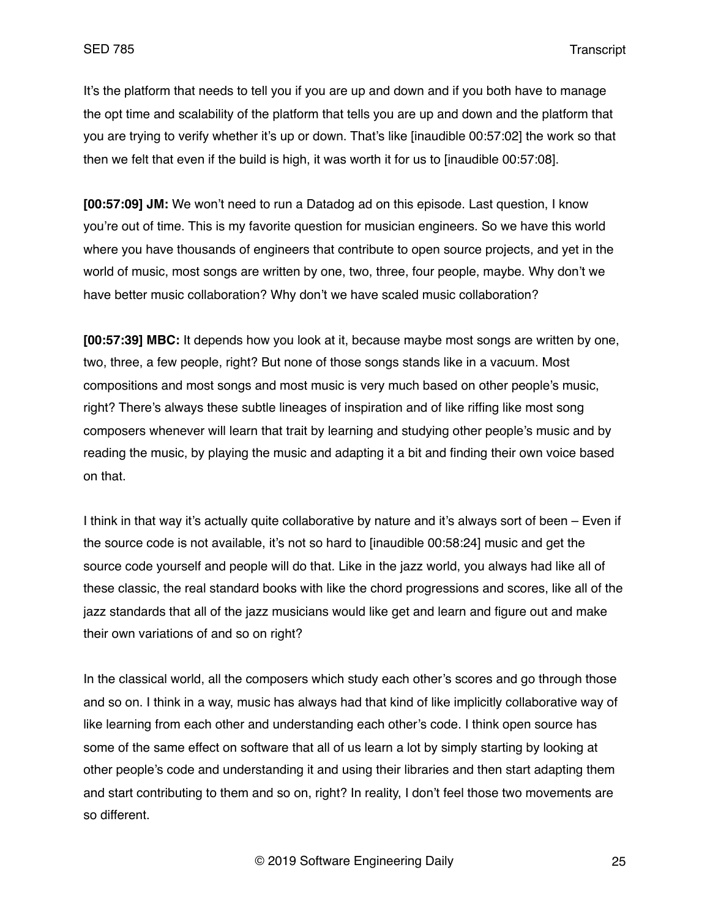It's the platform that needs to tell you if you are up and down and if you both have to manage the opt time and scalability of the platform that tells you are up and down and the platform that you are trying to verify whether it's up or down. That's like [inaudible 00:57:02] the work so that then we felt that even if the build is high, it was worth it for us to [inaudible 00:57:08].

**[00:57:09] JM:** We won't need to run a Datadog ad on this episode. Last question, I know you're out of time. This is my favorite question for musician engineers. So we have this world where you have thousands of engineers that contribute to open source projects, and yet in the world of music, most songs are written by one, two, three, four people, maybe. Why don't we have better music collaboration? Why don't we have scaled music collaboration?

**[00:57:39] MBC:** It depends how you look at it, because maybe most songs are written by one, two, three, a few people, right? But none of those songs stands like in a vacuum. Most compositions and most songs and most music is very much based on other people's music, right? There's always these subtle lineages of inspiration and of like riffing like most song composers whenever will learn that trait by learning and studying other people's music and by reading the music, by playing the music and adapting it a bit and finding their own voice based on that.

I think in that way it's actually quite collaborative by nature and it's always sort of been – Even if the source code is not available, it's not so hard to [inaudible 00:58:24] music and get the source code yourself and people will do that. Like in the jazz world, you always had like all of these classic, the real standard books with like the chord progressions and scores, like all of the jazz standards that all of the jazz musicians would like get and learn and figure out and make their own variations of and so on right?

In the classical world, all the composers which study each other's scores and go through those and so on. I think in a way, music has always had that kind of like implicitly collaborative way of like learning from each other and understanding each other's code. I think open source has some of the same effect on software that all of us learn a lot by simply starting by looking at other people's code and understanding it and using their libraries and then start adapting them and start contributing to them and so on, right? In reality, I don't feel those two movements are so different.